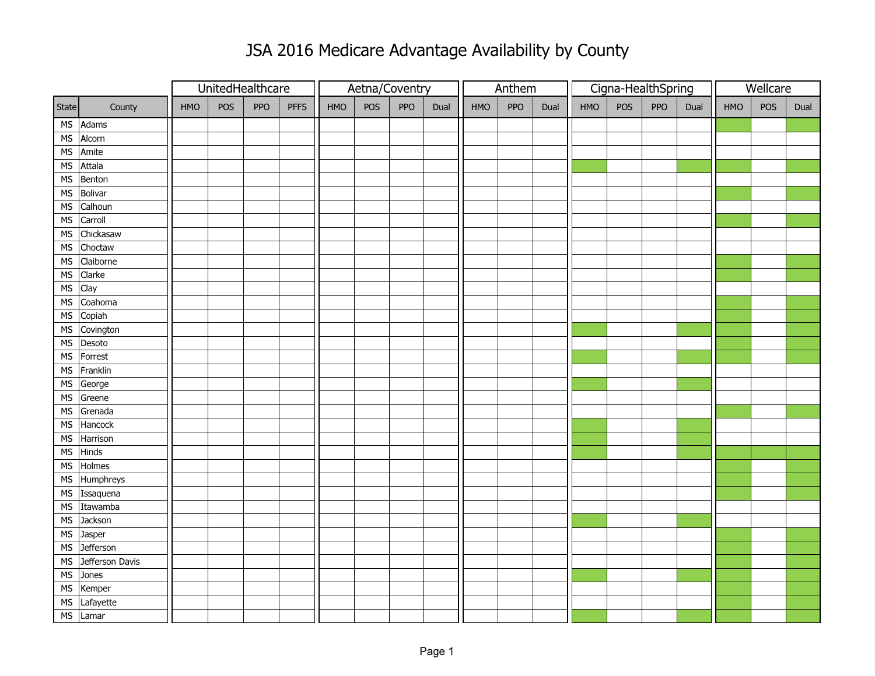## JSA 2016 Medicare Advantage Availability by County

|                          |                 |     |     | UnitedHealthcare |             | Aetna/Coventry |     |     |      | Anthem |     |      |     | Cigna-HealthSpring |     | Wellcare |            |     |      |
|--------------------------|-----------------|-----|-----|------------------|-------------|----------------|-----|-----|------|--------|-----|------|-----|--------------------|-----|----------|------------|-----|------|
| State                    | County          | HMO | POS | PPO              | <b>PFFS</b> | <b>HMO</b>     | POS | PPO | Dual | HMO    | PPO | Dual | HMO | POS                | PPO | Dual     | <b>HMO</b> | POS | Dual |
|                          | MS Adams        |     |     |                  |             |                |     |     |      |        |     |      |     |                    |     |          |            |     |      |
| MS                       | Alcorn          |     |     |                  |             |                |     |     |      |        |     |      |     |                    |     |          |            |     |      |
| MS                       | Amite           |     |     |                  |             |                |     |     |      |        |     |      |     |                    |     |          |            |     |      |
| ${\sf MS}$               | Attala          |     |     |                  |             |                |     |     |      |        |     |      |     |                    |     |          |            |     |      |
| ${\sf MS}$               | Benton          |     |     |                  |             |                |     |     |      |        |     |      |     |                    |     |          |            |     |      |
| ${\sf MS}$               | Bolivar         |     |     |                  |             |                |     |     |      |        |     |      |     |                    |     |          |            |     |      |
| ${\sf MS}$               | Calhoun         |     |     |                  |             |                |     |     |      |        |     |      |     |                    |     |          |            |     |      |
| ${\sf MS}$               | Carroll         |     |     |                  |             |                |     |     |      |        |     |      |     |                    |     |          |            |     |      |
| $\overline{\mathsf{MS}}$ | Chickasaw       |     |     |                  |             |                |     |     |      |        |     |      |     |                    |     |          |            |     |      |
| MS                       | Choctaw         |     |     |                  |             |                |     |     |      |        |     |      |     |                    |     |          |            |     |      |
| MS                       | Claiborne       |     |     |                  |             |                |     |     |      |        |     |      |     |                    |     |          |            |     |      |
| MS                       | Clarke          |     |     |                  |             |                |     |     |      |        |     |      |     |                    |     |          |            |     |      |
| MS                       | Clay            |     |     |                  |             |                |     |     |      |        |     |      |     |                    |     |          |            |     |      |
| $\overline{\mathsf{MS}}$ | Coahoma         |     |     |                  |             |                |     |     |      |        |     |      |     |                    |     |          |            |     |      |
| MS                       | Copiah          |     |     |                  |             |                |     |     |      |        |     |      |     |                    |     |          |            |     |      |
|                          | MS Covington    |     |     |                  |             |                |     |     |      |        |     |      |     |                    |     |          |            |     |      |
| MS                       | Desoto          |     |     |                  |             |                |     |     |      |        |     |      |     |                    |     |          |            |     |      |
| ${\sf MS}$               | Forrest         |     |     |                  |             |                |     |     |      |        |     |      |     |                    |     |          |            |     |      |
| MS                       | Franklin        |     |     |                  |             |                |     |     |      |        |     |      |     |                    |     |          |            |     |      |
|                          | MS George       |     |     |                  |             |                |     |     |      |        |     |      |     |                    |     |          |            |     |      |
| MS                       | Greene          |     |     |                  |             |                |     |     |      |        |     |      |     |                    |     |          |            |     |      |
| ${\sf MS}$               | Grenada         |     |     |                  |             |                |     |     |      |        |     |      |     |                    |     |          |            |     |      |
| $\overline{\mathsf{MS}}$ | Hancock         |     |     |                  |             |                |     |     |      |        |     |      |     |                    |     |          |            |     |      |
| ${\sf MS}$               | Harrison        |     |     |                  |             |                |     |     |      |        |     |      |     |                    |     |          |            |     |      |
| MS                       | Hinds           |     |     |                  |             |                |     |     |      |        |     |      |     |                    |     |          |            |     |      |
| ${\sf MS}$               | Holmes          |     |     |                  |             |                |     |     |      |        |     |      |     |                    |     |          |            |     |      |
|                          | MS Humphreys    |     |     |                  |             |                |     |     |      |        |     |      |     |                    |     |          |            |     |      |
|                          | MS Issaquena    |     |     |                  |             |                |     |     |      |        |     |      |     |                    |     |          |            |     |      |
| ${\sf MS}$               | Itawamba        |     |     |                  |             |                |     |     |      |        |     |      |     |                    |     |          |            |     |      |
| $\overline{\mathsf{MS}}$ | Jackson         |     |     |                  |             |                |     |     |      |        |     |      |     |                    |     |          |            |     |      |
| ${\sf MS}$               | Jasper          |     |     |                  |             |                |     |     |      |        |     |      |     |                    |     |          |            |     |      |
| $\overline{\mathsf{MS}}$ | Jefferson       |     |     |                  |             |                |     |     |      |        |     |      |     |                    |     |          |            |     |      |
| $\overline{\mathsf{MS}}$ | Jefferson Davis |     |     |                  |             |                |     |     |      |        |     |      |     |                    |     |          |            |     |      |
| ${\sf MS}$               | Jones           |     |     |                  |             |                |     |     |      |        |     |      |     |                    |     |          |            |     |      |
| MS                       | Kemper          |     |     |                  |             |                |     |     |      |        |     |      |     |                    |     |          |            |     |      |
| MS                       | Lafayette       |     |     |                  |             |                |     |     |      |        |     |      |     |                    |     |          |            |     |      |
|                          | MS Lamar        |     |     |                  |             |                |     |     |      |        |     |      |     |                    |     |          |            |     |      |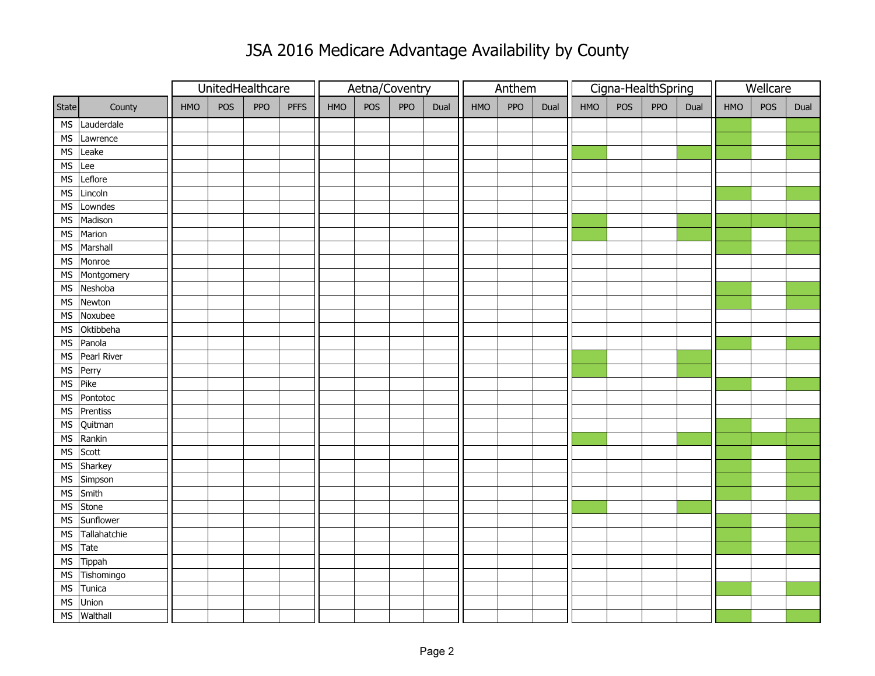## JSA 2016 Medicare Advantage Availability by County

|                          |               |     |     | UnitedHealthcare |             | Aetna/Coventry |     |     |      | Anthem |     |      |     | Cigna-HealthSpring |     | Wellcare |     |     |      |
|--------------------------|---------------|-----|-----|------------------|-------------|----------------|-----|-----|------|--------|-----|------|-----|--------------------|-----|----------|-----|-----|------|
| State                    | County        | HMO | POS | PPO              | <b>PFFS</b> | HMO            | POS | PPO | Dual | HMO    | PPO | Dual | HMO | POS                | PPO | Dual     | HMO | POS | Dual |
|                          | MS Lauderdale |     |     |                  |             |                |     |     |      |        |     |      |     |                    |     |          |     |     |      |
| <b>MS</b>                | Lawrence      |     |     |                  |             |                |     |     |      |        |     |      |     |                    |     |          |     |     |      |
| <b>MS</b>                | Leake         |     |     |                  |             |                |     |     |      |        |     |      |     |                    |     |          |     |     |      |
| $MS$ Lee                 |               |     |     |                  |             |                |     |     |      |        |     |      |     |                    |     |          |     |     |      |
| <b>MS</b>                | Leflore       |     |     |                  |             |                |     |     |      |        |     |      |     |                    |     |          |     |     |      |
| <b>MS</b>                | Lincoln       |     |     |                  |             |                |     |     |      |        |     |      |     |                    |     |          |     |     |      |
| ${\sf MS}$               | Lowndes       |     |     |                  |             |                |     |     |      |        |     |      |     |                    |     |          |     |     |      |
| MS                       | Madison       |     |     |                  |             |                |     |     |      |        |     |      |     |                    |     |          |     |     |      |
| ${\sf MS}$               | Marion        |     |     |                  |             |                |     |     |      |        |     |      |     |                    |     |          |     |     |      |
| ${\sf MS}$               | Marshall      |     |     |                  |             |                |     |     |      |        |     |      |     |                    |     |          |     |     |      |
| MS                       | Monroe        |     |     |                  |             |                |     |     |      |        |     |      |     |                    |     |          |     |     |      |
|                          | MS Montgomery |     |     |                  |             |                |     |     |      |        |     |      |     |                    |     |          |     |     |      |
| MS                       | Neshoba       |     |     |                  |             |                |     |     |      |        |     |      |     |                    |     |          |     |     |      |
| $\overline{\mathsf{MS}}$ | Newton        |     |     |                  |             |                |     |     |      |        |     |      |     |                    |     |          |     |     |      |
| $\overline{\mathsf{MS}}$ | Noxubee       |     |     |                  |             |                |     |     |      |        |     |      |     |                    |     |          |     |     |      |
| MS                       | Oktibbeha     |     |     |                  |             |                |     |     |      |        |     |      |     |                    |     |          |     |     |      |
| ${\sf MS}$               | Panola        |     |     |                  |             |                |     |     |      |        |     |      |     |                    |     |          |     |     |      |
| ${\sf MS}$               | Pearl River   |     |     |                  |             |                |     |     |      |        |     |      |     |                    |     |          |     |     |      |
|                          | MS Perry      |     |     |                  |             |                |     |     |      |        |     |      |     |                    |     |          |     |     |      |
|                          | MS Pike       |     |     |                  |             |                |     |     |      |        |     |      |     |                    |     |          |     |     |      |
| MS                       | Pontotoc      |     |     |                  |             |                |     |     |      |        |     |      |     |                    |     |          |     |     |      |
| <b>MS</b>                | Prentiss      |     |     |                  |             |                |     |     |      |        |     |      |     |                    |     |          |     |     |      |
| $\overline{\mathsf{MS}}$ | Quitman       |     |     |                  |             |                |     |     |      |        |     |      |     |                    |     |          |     |     |      |
| <b>MS</b>                | Rankin        |     |     |                  |             |                |     |     |      |        |     |      |     |                    |     |          |     |     |      |
| MS                       | Scott         |     |     |                  |             |                |     |     |      |        |     |      |     |                    |     |          |     |     |      |
| MS                       | Sharkey       |     |     |                  |             |                |     |     |      |        |     |      |     |                    |     |          |     |     |      |
|                          | MS Simpson    |     |     |                  |             |                |     |     |      |        |     |      |     |                    |     |          |     |     |      |
|                          | MS Smith      |     |     |                  |             |                |     |     |      |        |     |      |     |                    |     |          |     |     |      |
| ${\sf MS}$               | Stone         |     |     |                  |             |                |     |     |      |        |     |      |     |                    |     |          |     |     |      |
| $\overline{\mathsf{MS}}$ | Sunflower     |     |     |                  |             |                |     |     |      |        |     |      |     |                    |     |          |     |     |      |
| $\overline{\mathsf{MS}}$ | Tallahatchie  |     |     |                  |             |                |     |     |      |        |     |      |     |                    |     |          |     |     |      |
| $\overline{\mathsf{MS}}$ | Tate          |     |     |                  |             |                |     |     |      |        |     |      |     |                    |     |          |     |     |      |
| ${\sf MS}$               | Tippah        |     |     |                  |             |                |     |     |      |        |     |      |     |                    |     |          |     |     |      |
| ${\sf MS}$               | Tishomingo    |     |     |                  |             |                |     |     |      |        |     |      |     |                    |     |          |     |     |      |
| ${\sf MS}$               | Tunica        |     |     |                  |             |                |     |     |      |        |     |      |     |                    |     |          |     |     |      |
| ${\sf MS}$               | Union         |     |     |                  |             |                |     |     |      |        |     |      |     |                    |     |          |     |     |      |
|                          | MS Walthall   |     |     |                  |             |                |     |     |      |        |     |      |     |                    |     |          |     |     |      |